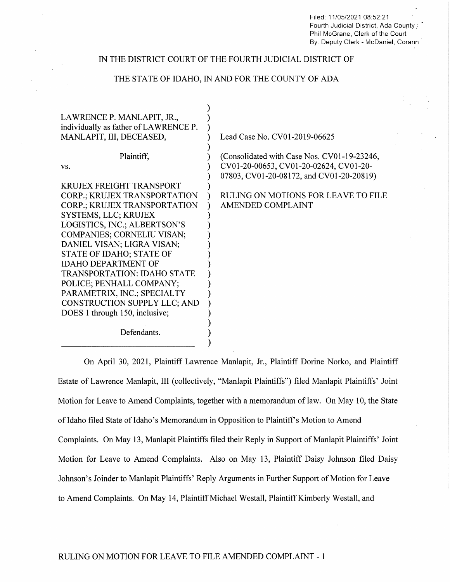Filed: 11/05/2021 08:52:21 Fourth Judicial District, Ada County: Phil McGrane, Clerk of the Court By: Deputy Clerk - McDaniel, Corann

## IN THE DISTRICT COURT OF THE FOURTH JUDICIAL DISTRICT OF

# THE STATE OF IDAHO, IN AND FOR THE COUNTY OF ADA

| LAWRENCE P. MANLAPIT, JR.,<br>individually as father of LAWRENCE P.<br>MANLAPIT, III, DECEASED, | Lead Case No. CV01-2019-06625                                                                                                     |
|-------------------------------------------------------------------------------------------------|-----------------------------------------------------------------------------------------------------------------------------------|
| Plaintiff,<br>VS.                                                                               | (Consolidated with Case Nos. CV01-19-23246,<br>CV01-20-00653, CV01-20-02624, CV01-20-<br>07803, CV01-20-08172, and CV01-20-20819) |
| <b>KRUJEX FREIGHT TRANSPORT</b>                                                                 |                                                                                                                                   |
| <b>CORP.; KRUJEX TRANSPORTATION</b>                                                             | RULING ON MOTIONS FOR LEAVE TO FILE                                                                                               |
| <b>CORP.; KRUJEX TRANSPORTATION</b>                                                             | AMENDED COMPLAINT                                                                                                                 |
| <b>SYSTEMS, LLC; KRUJEX</b>                                                                     |                                                                                                                                   |
| LOGISTICS, INC.; ALBERTSON'S                                                                    |                                                                                                                                   |
| <b>COMPANIES; CORNELIU VISAN;</b>                                                               |                                                                                                                                   |
| DANIEL VISAN; LIGRA VISAN;                                                                      |                                                                                                                                   |
| STATE OF IDAHO; STATE OF                                                                        |                                                                                                                                   |
| <b>IDAHO DEPARTMENT OF</b>                                                                      |                                                                                                                                   |
| <b>TRANSPORTATION: IDAHO STATE</b>                                                              |                                                                                                                                   |
| POLICE; PENHALL COMPANY;                                                                        |                                                                                                                                   |
| PARAMETRIX, INC.; SPECIALTY                                                                     |                                                                                                                                   |
| CONSTRUCTION SUPPLY LLC; AND                                                                    |                                                                                                                                   |
| DOES 1 through 150, inclusive;                                                                  |                                                                                                                                   |
| Defendants.                                                                                     |                                                                                                                                   |

On April 30, 2021, Plaintiff Lawrence Manlapit, Jr., Plaintiff Dorine Norko, and Plaintiff Estate of Lawrence Manlapit, III (collectively, "Manlapit Plaintiffs") filed Manlapit Plaintiffs' Joint Motion for Leave to Amend Complaints, together with a memorandum of law. On May 10, the State of Idaho filed State of Idaho's Memorandum in Opposition to Plaintiff's Motion to Amend Complaints. On May l3, Manlapit Plaintiffs filed their Reply in Support of Manlapit Plaintiffs' Joint Motion for Leave to Amend Complaints. Also on May 13, Plaintiff Daisy Johnson filed Daisy Johnson's Joinder to Manlapit Plaintiffs' Reply Arguments in Further Support of Motion for Leave to Amend Complaints. On May 14, Plaintiff Michael Westall, Plaintiff Kimberly Westall, and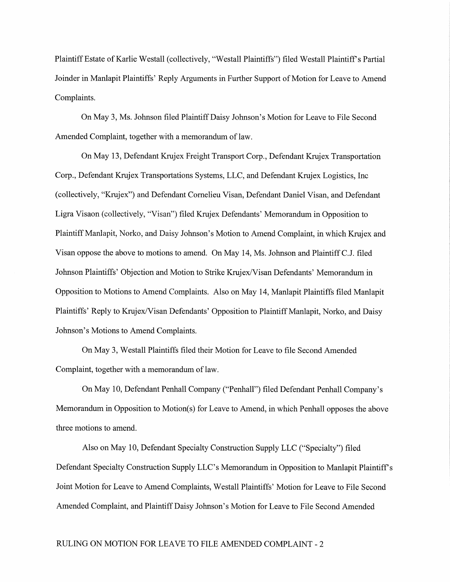Plaintiff Estate of Karlie Westall (collectively, "Westall Plaintiffs") filed Westall Plaintiff's Partial oinder in Manlapit Plaintiffs' Reply Arguments in Further Support 0f Motion for Leave to Amend Complaints.

On May 3, Ms. Johnson filed PlaintiffDaisy ohnson's Motion for Leave to File Second Amended Complaint, together with a memorandum of law.

On May 13, Defendant Krujex Freight Transport Corp., Defendant Krujex Transportation Corp., Defendant Krujex Transportations Systems, LLC, and Defendant Krujex Logistics, Inc. (collectively, "K1ujex") and Defendant Cornelieu Visan, Defendant Daniel Visan, and Defendant Ligra Visaon (collectively, "Visan") filed Krujex Defendants' Memorandum in Opposition to Plaintiff Manlapit, Norko, and Daisy Johnson's Motion to Amend Complaint, in which Krujex and Visan oppose the above to motions to amend. On May l4, Ms. Johnson and Plaintiff C.J. filed Johnson Plaintiffs' Objection and Motion to Strike Krujex/Visan Defendants' Memorandum in Opposition to Motions to Amend Complaints. Also on May l4, Manlapit Plaintiffs filed Manlapit Plaintiffs' Reply to Krujex/Visan Defendants' Opposition to Plaintiff Manlapit, Norko, and Daisy Johnson's Motions to Amend Complaints.

On May 3, Westall Plaintiffs filed their Motion for Leave to file Second Amended Complaint, together with a memorandum of law.

"On May 10, Defendant Penhall Company ("Penhall") filed Defendant Penhall Company's Memorandum in Opposition to Motion(s) for Leave to Amend, in which Penhall opposes the above three motions to amend.

Also on May 10, Defendant Specialty Construction Supply LLC ("Specialty") filed Defendant Specialty Construction Supply LLC's Memorandum in Opposition to Manlapit Plaintiff Joint Motion for Leave to Amend Complaints, Westall Plaintiffs' Motion for Leave to File Second Amended Complaint, and PlaintiffDaisy Johnson's Motion for Leave to File Second Amended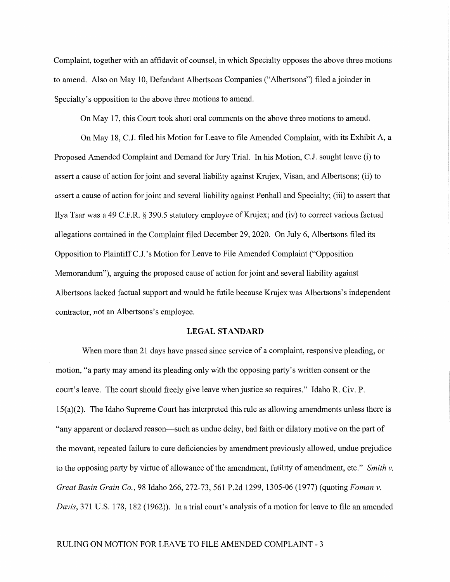Complaint, together with an affidavit of counsel, in which Specialty opposes the above three motions to amend. Also on May 10, Defendant Albertsons Companies ("Albertsons") filed a joinder in Specialty's opposition to the above three motions to amend.

On May l7, this Court took short oral comments on the above three motions to amend.

On May 18, C.J. filed his Motion for Leave to file Amended Complaint, with its Exhibit A, Proposed Amended Complaint and Demand for Jury Trial. In his Motion, C.J. sought leave (i) to assert a cause of action for joint and several liability against Krujex, Visan, and Albertsons; (ii) to assert a cause of action for joint and several liability against Penhall and Specialty; (iii) to assert that Ilya Tsar was a 49 C.F.R. § 390.5 statutory employee of Krujex; and (iv) to correct various factual allegations contained in the Complaint filed December 29, 2020. On July 6, Albertsons filed its Opposition to Plaintiff C.J.'s Motion for Leave to File Amended Complaint ("Opposition Memorandum"), arguing the proposed cause of action for joint and several liability against Albertsons lacked factual support and would be futile because Krujex was Albertsons's independent contractor, not an Albertsons's employee.

## LEGAL STANDARD

When more than 21 days have passed since service of a complaint, responsive pleading, or motion, "a party may amend its pleading only with the opposing party's written consent or the court's leave. The court should freely give leave when justice so requires." Idaho R. Civ. P. <sup>15</sup>(a)(2). The Idaho Supreme Court has interpreted this rule as allowing amendments unless there is "any apparent or declared reason——such as undue delay, bad faith or dilatory motive on the part of the movant, repeated failure to cure deficiencies by amendment previously allowed, undue prejudice to the opposing party by virtue of allowance of the amendment, futility of amendment, etc." Smith  $v$ . Great Basin Grain Co., 98 Idaho 266, 272-73, 561 P.2d 1299, 1305-06 (1977) (quoting Foman v. Davis, 371 U.S. 178, 182 (1962)). In a trial count's analysis of a motion for leave to file an amended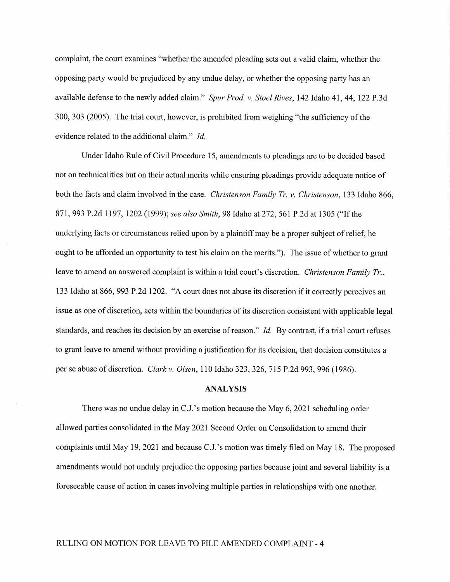complaint, the court examines "whether the amended pleading sets out a valid claim, whether the opposing party would be prejudiced by any undue delay, or Whether the opposing party has an available defense to the newly added claim." Spur Prod. v. Stoel Rives, 142 Idaho 41, 44, 122 P.3d 300, 303 (2005). The trial court, however, is prohibited from weighing "the sufficiency of the evidence related to the additional claim." Id.

Under Idaho Rule of Civil Procedure 15, amendments to pleadings are to be decided based not on technicalities but on their actual merits while ensuring pleadings provide adequate notice of both the facts and claim involved in the case. Christenson Family Tr. v. Christenson, 133 Idaho 866, 871, <sup>993</sup> P.2d 1197, <sup>1202</sup> (1999); see also Smith, <sup>98</sup> Idaho at 272, <sup>561</sup> P.2d at <sup>1305</sup> ("Ifthe underlying facts or circumstances relied upon by a plaintiff may be a proper subject of relief, he ought to be afforded an opportunity to test his claim on the merits."). The issue of whether to grant leave to amend an answered complaint is within a trial court's discretion. *Christenson Family Tr*., 133 Idaho at 866, 993 P.2d 1202. "A court does not abuse its discretion if it correctly perceives an issue as one of discretion, acts within the boundaries of its discretion consistent with applicable legal standards, and reaches its decision by an exercise of reason." Id. By contrast, if a trial court refuses to grant leave to amend without providing a justification for its decision, that decision constitutes a per se abuse of discretion. Clark v. Olsen, <sup>110</sup> Idaho 323, 326, <sup>715</sup> P.2d 993, <sup>996</sup> (1986).

### ANALYSIS

There was no undue delay in C.J.'s motion because the May 6, <sup>2021</sup> scheduling order allowed parties consolidated in the May 2021 Second Order on Consolidation to amend their complaints until May 19, <sup>2021</sup> and because C.J.'s motion was timely filed on May 18. The proposed amendments would not unduly prejudice the opposing parties because joint and several liability is a foreseeable cause of action in cases involving multiple parties in relationships with one another.